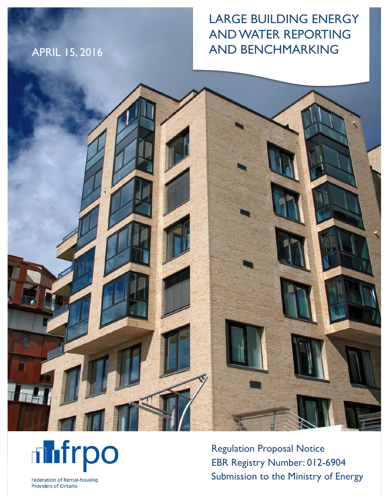# APRIL 15, 2016

# LARGE BUILDING ENERGY AND WATER REPORTING AND BENCHMARKING





Regulation Proposal Notice EBR Registry Number: 012-6904 Submission to the Ministry of Energy

**Federation of Rental-housing Providers of Ontario**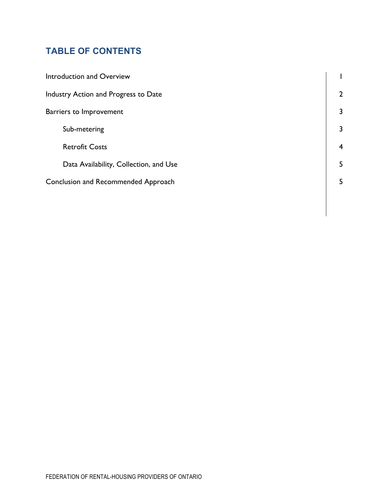## **TABLE OF CONTENTS**

| Introduction and Overview              |                |
|----------------------------------------|----------------|
| Industry Action and Progress to Date   | $\overline{2}$ |
| Barriers to Improvement                | 3              |
| Sub-metering                           | 3              |
| <b>Retrofit Costs</b>                  | $\overline{4}$ |
| Data Availability, Collection, and Use | 5              |
| Conclusion and Recommended Approach    | 5              |
|                                        |                |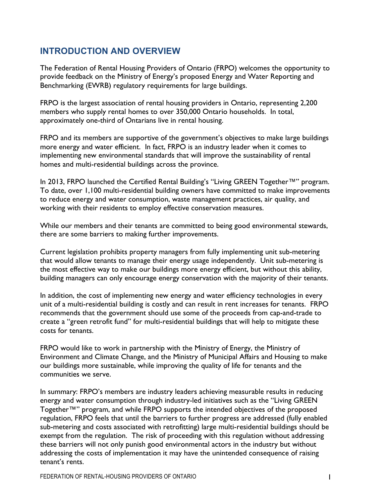### **INTRODUCTION AND OVERVIEW**

The Federation of Rental Housing Providers of Ontario (FRPO) welcomes the opportunity to provide feedback on the Ministry of Energy's proposed Energy and Water Reporting and Benchmarking (EWRB) regulatory requirements for large buildings.

FRPO is the largest association of rental housing providers in Ontario, representing 2,200 members who supply rental homes to over 350,000 Ontario households. In total, approximately one-third of Ontarians live in rental housing.

FRPO and its members are supportive of the government's objectives to make large buildings more energy and water efficient. In fact, FRPO is an industry leader when it comes to implementing new environmental standards that will improve the sustainability of rental homes and multi-residential buildings across the province.

In 2013, FRPO launched the Certified Rental Building's "Living GREEN Together™" program. To date, over 1,100 multi-residential building owners have committed to make improvements to reduce energy and water consumption, waste management practices, air quality, and working with their residents to employ effective conservation measures.

While our members and their tenants are committed to being good environmental stewards, there are some barriers to making further improvements.

Current legislation prohibits property managers from fully implementing unit sub-metering that would allow tenants to manage their energy usage independently. Unit sub-metering is the most effective way to make our buildings more energy efficient, but without this ability, building managers can only encourage energy conservation with the majority of their tenants.

In addition, the cost of implementing new energy and water efficiency technologies in every unit of a multi-residential building is costly and can result in rent increases for tenants. FRPO recommends that the government should use some of the proceeds from cap-and-trade to create a "green retrofit fund" for multi-residential buildings that will help to mitigate these costs for tenants.

FRPO would like to work in partnership with the Ministry of Energy, the Ministry of Environment and Climate Change, and the Ministry of Municipal Affairs and Housing to make our buildings more sustainable, while improving the quality of life for tenants and the communities we serve.

In summary: FRPO's members are industry leaders achieving measurable results in reducing energy and water consumption through industry-led initiatives such as the "Living GREEN Together™" program, and while FRPO supports the intended objectives of the proposed regulation, FRPO feels that until the barriers to further progress are addressed (fully enabled sub-metering and costs associated with retrofitting) large multi-residential buildings should be exempt from the regulation. The risk of proceeding with this regulation without addressing these barriers will not only punish good environmental actors in the industry but without addressing the costs of implementation it may have the unintended consequence of raising tenant's rents.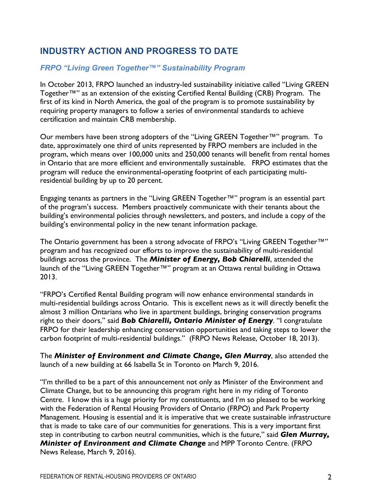## **INDUSTRY ACTION AND PROGRESS TO DATE**

#### *FRPO "Living Green Together™" Sustainability Program*

In October 2013, FRPO launched an industry-led sustainability initiative called "Living GREEN Together™" as an extension of the existing Certified Rental Building (CRB) Program. The first of its kind in North America, the goal of the program is to promote sustainability by requiring property managers to follow a series of environmental standards to achieve certification and maintain CRB membership.

Our members have been strong adopters of the "Living GREEN Together™" program. To date, approximately one third of units represented by FRPO members are included in the program, which means over 100,000 units and 250,000 tenants will benefit from rental homes in Ontario that are more efficient and environmentally sustainable. FRPO estimates that the program will reduce the environmental-operating footprint of each participating multiresidential building by up to 20 percent.

Engaging tenants as partners in the "Living GREEN Together™" program is an essential part of the program's success. Members proactively communicate with their tenants about the building's environmental policies through newsletters, and posters, and include a copy of the building's environmental policy in the new tenant information package.

The Ontario government has been a strong advocate of FRPO's "Living GREEN Together™" program and has recognized our efforts to improve the sustainability of multi-residential buildings across the province. The *Minister of Energy, Bob Chiarelli*, attended the launch of the "Living GREEN Together™" program at an Ottawa rental building in Ottawa 2013.

"FRPO's Certified Rental Building program will now enhance environmental standards in multi-residential buildings across Ontario. This is excellent news as it will directly benefit the almost 3 million Ontarians who live in apartment buildings, bringing conservation programs right to their doors," said *Bob Chiarelli, Ontario Minister of Energy*. "I congratulate FRPO for their leadership enhancing conservation opportunities and taking steps to lower the carbon footprint of multi-residential buildings." (FRPO News Release, October 18, 2013).

The *Minister of Environment and Climate Change, Glen Murray*, also attended the launch of a new building at 66 Isabella St in Toronto on March 9, 2016.

"I'm thrilled to be a part of this announcement not only as Minister of the Environment and Climate Change, but to be announcing this program right here in my riding of Toronto Centre. I know this is a huge priority for my constituents, and I'm so pleased to be working with the Federation of Rental Housing Providers of Ontario (FRPO) and Park Property Management. Housing is essential and it is imperative that we create sustainable infrastructure that is made to take care of our communities for generations. This is a very important first step in contributing to carbon neutral communities, which is the future," said *Glen Murray, Minister of Environment and Climate Change* and MPP Toronto Centre. (FRPO News Release, March 9, 2016).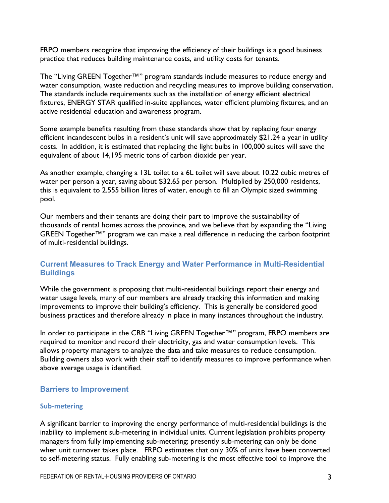FRPO members recognize that improving the efficiency of their buildings is a good business practice that reduces building maintenance costs, and utility costs for tenants.

The "Living GREEN Together™" program standards include measures to reduce energy and water consumption, waste reduction and recycling measures to improve building conservation. The standards include requirements such as the installation of energy efficient electrical fixtures, ENERGY STAR qualified in-suite appliances, water efficient plumbing fixtures, and an active residential education and awareness program.

Some example benefits resulting from these standards show that by replacing four energy efficient incandescent bulbs in a resident's unit will save approximately \$21.24 a year in utility costs. In addition, it is estimated that replacing the light bulbs in 100,000 suites will save the equivalent of about 14,195 metric tons of carbon dioxide per year.

As another example, changing a 13L toilet to a 6L toilet will save about 10.22 cubic metres of water per person a year, saving about \$32.65 per person. Multiplied by 250,000 residents, this is equivalent to 2.555 billion litres of water, enough to fill an Olympic sized swimming pool.

Our members and their tenants are doing their part to improve the sustainability of thousands of rental homes across the province, and we believe that by expanding the "Living GREEN Together™" program we can make a real difference in reducing the carbon footprint of multi-residential buildings.

#### **Current Measures to Track Energy and Water Performance in Multi-Residential Buildings**

While the government is proposing that multi-residential buildings report their energy and water usage levels, many of our members are already tracking this information and making improvements to improve their building's efficiency. This is generally be considered good business practices and therefore already in place in many instances throughout the industry.

In order to participate in the CRB "Living GREEN Together™" program, FRPO members are required to monitor and record their electricity, gas and water consumption levels. This allows property managers to analyze the data and take measures to reduce consumption. Building owners also work with their staff to identify measures to improve performance when above average usage is identified.

#### **Barriers to Improvement**

#### **Sub-metering**

A significant barrier to improving the energy performance of multi-residential buildings is the inability to implement sub-metering in individual units. Current legislation prohibits property managers from fully implementing sub-metering; presently sub-metering can only be done when unit turnover takes place. FRPO estimates that only 30% of units have been converted to self-metering status. Fully enabling sub-metering is the most effective tool to improve the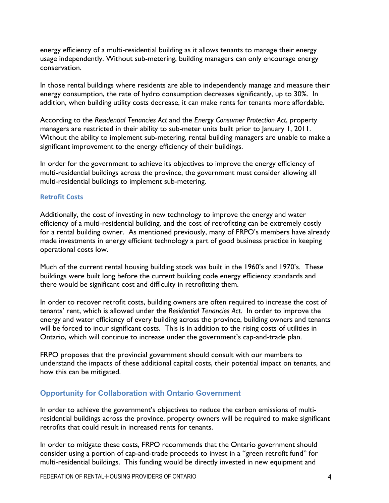energy efficiency of a multi-residential building as it allows tenants to manage their energy usage independently. Without sub-metering, building managers can only encourage energy conservation.

In those rental buildings where residents are able to independently manage and measure their energy consumption, the rate of hydro consumption decreases significantly, up to 30%. In addition, when building utility costs decrease, it can make rents for tenants more affordable.

According to the *Residential Tenancies Act* and the *Energy Consumer Protection Act*, property managers are restricted in their ability to sub-meter units built prior to January 1, 2011. Without the ability to implement sub-metering, rental building managers are unable to make a significant improvement to the energy efficiency of their buildings.

In order for the government to achieve its objectives to improve the energy efficiency of multi-residential buildings across the province, the government must consider allowing all multi-residential buildings to implement sub-metering.

#### **Retrofit Costs**

Additionally, the cost of investing in new technology to improve the energy and water efficiency of a multi-residential building, and the cost of retrofitting can be extremely costly for a rental building owner. As mentioned previously, many of FRPO's members have already made investments in energy efficient technology a part of good business practice in keeping operational costs low.

Much of the current rental housing building stock was built in the 1960's and 1970's. These buildings were built long before the current building code energy efficiency standards and there would be significant cost and difficulty in retrofitting them.

In order to recover retrofit costs, building owners are often required to increase the cost of tenants' rent, which is allowed under the *Residential Tenancies Act*. In order to improve the energy and water efficiency of every building across the province, building owners and tenants will be forced to incur significant costs. This is in addition to the rising costs of utilities in Ontario, which will continue to increase under the government's cap-and-trade plan.

FRPO proposes that the provincial government should consult with our members to understand the impacts of these additional capital costs, their potential impact on tenants, and how this can be mitigated.

#### **Opportunity for Collaboration with Ontario Government**

In order to achieve the government's objectives to reduce the carbon emissions of multiresidential buildings across the province, property owners will be required to make significant retrofits that could result in increased rents for tenants.

In order to mitigate these costs, FRPO recommends that the Ontario government should consider using a portion of cap-and-trade proceeds to invest in a "green retrofit fund" for multi-residential buildings. This funding would be directly invested in new equipment and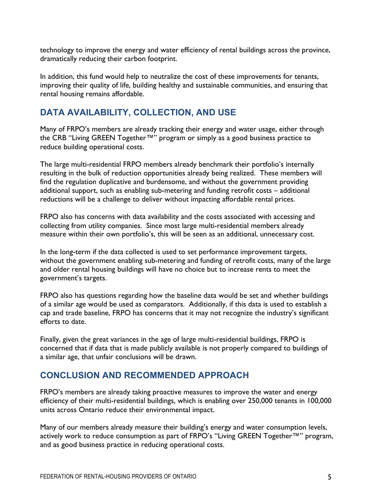technology to improve the energy and water efficiency of rental buildings across the province, dramatically reducing their carbon footprint.

In addition, this fund would help to neutralize the cost of these improvements for tenants, improving their quality of life, building healthy and sustainable communities, and ensuring that rental housing remains affordable.

## **DATA AVAILABILITY, COLLECTION, AND USE**

Many of FRPO's members are already tracking their energy and water usage, either through the CRB "Living GREEN Together™" program or simply as a good business practice to reduce building operational costs.

The large multi-residential FRPO members already benchmark their portfolio's internally resulting in the bulk of reduction opportunities already being realized. These members will find the regulation duplicative and burdensome, and without the government providing additional support, such as enabling sub-metering and funding retrofit costs – additional reductions will be a challenge to deliver without impacting affordable rental prices.

FRPO also has concerns with data availability and the costs associated with accessing and collecting from utility companies. Since most large multi-residential members already measure within their own portfolio's, this will be seen as an additional, unnecessary cost.

In the long-term if the data collected is used to set performance improvement targets, without the government enabling sub-metering and funding of retrofit costs, many of the large and older rental housing buildings will have no choice but to increase rents to meet the government's targets.

FRPO also has questions regarding how the baseline data would be set and whether buildings of a similar age would be used as comparators. Additionally, if this data is used to establish a cap and trade baseline, FRPO has concerns that it may not recognize the industry's significant efforts to date.

Finally, given the great variances in the age of large multi-residential buildings, FRPO is concerned that if data that is made publicly available is not properly compared to buildings of a similar age, that unfair conclusions will be drawn.

### **CONCLUSION AND RECOMMENDED APPROACH**

FRPO's members are already taking proactive measures to improve the water and energy efficiency of their multi-residential buildings, which is enabling over 250,000 tenants in 100,000 units across Ontario reduce their environmental impact.

Many of our members already measure their building's energy and water consumption levels, actively work to reduce consumption as part of FRPO's "Living GREEN Together™" program, and as good business practice in reducing operational costs.